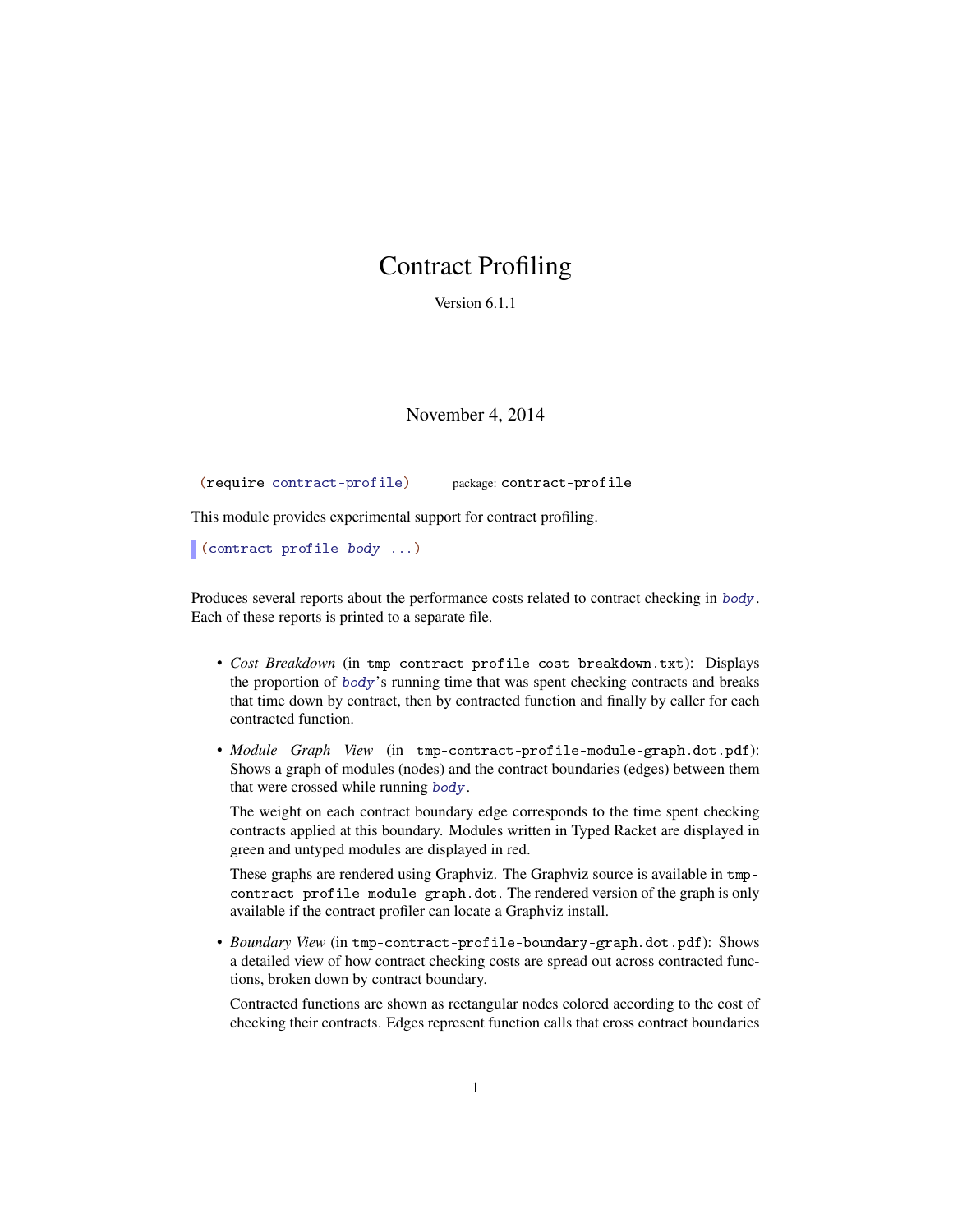## Contract Profiling

Version 6.1.1

November 4, 2014

(require contract-profile) package: contract-profile

This module provides experimental support for contract profiling.

(contract-profile body ...)

Produces several reports about the performance costs related to contract checking in body. Each of these reports is printed to a separate file.

- *Cost Breakdown* (in tmp-contract-profile-cost-breakdown.txt): Displays the proportion of body's running time that was spent checking contracts and breaks that time down by contract, then by contracted function and finally by caller for each contracted function.
- *Module Graph View* (in tmp-contract-profile-module-graph.dot.pdf): Shows a graph of modules (nodes) and the contract boundaries (edges) between them that were crossed while running body.

The weight on each contract boundary edge corresponds to the time spent checking contracts applied at this boundary. Modules written in Typed Racket are displayed in green and untyped modules are displayed in red.

These graphs are rendered using Graphviz. The Graphviz source is available in tmpcontract-profile-module-graph.dot. The rendered version of the graph is only available if the contract profiler can locate a Graphviz install.

• *Boundary View* (in tmp-contract-profile-boundary-graph.dot.pdf): Shows a detailed view of how contract checking costs are spread out across contracted functions, broken down by contract boundary.

Contracted functions are shown as rectangular nodes colored according to the cost of checking their contracts. Edges represent function calls that cross contract boundaries